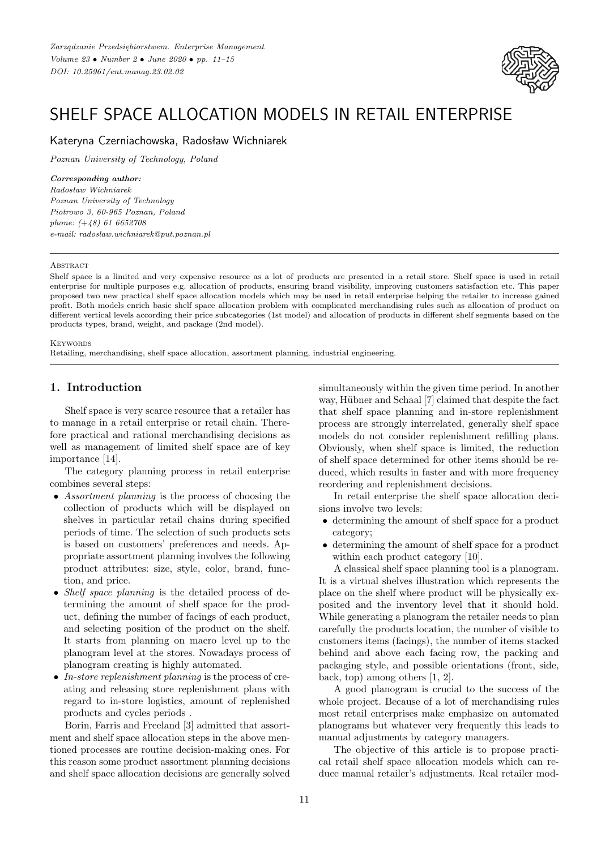

# SHELF SPACE ALLOCATION MODELS IN RETAIL ENTERPRISE

Kateryna Czerniachowska, Radosław Wichniarek

*Poznan University of Technology, Poland*

#### *Corresponding author:*

*Radosław Wichniarek Poznan University of Technology Piotrowo 3, 60-965 Poznan, Poland phone: (*+*48) 61 6652708 e-mail: radoslaw.wichniarek@put.poznan.pl*

#### **ABSTRACT**

Shelf space is a limited and very expensive resource as a lot of products are presented in a retail store. Shelf space is used in retail enterprise for multiple purposes e.g. allocation of products, ensuring brand visibility, improving customers satisfaction etc. This paper proposed two new practical shelf space allocation models which may be used in retail enterprise helping the retailer to increase gained profit. Both models enrich basic shelf space allocation problem with complicated merchandising rules such as allocation of product on different vertical levels according their price subcategories (1st model) and allocation of products in different shelf segments based on the products types, brand, weight, and package (2nd model).

**KEYWORDS** 

Retailing, merchandising, shelf space allocation, assortment planning, industrial engineering.

### **1. Introduction**

Shelf space is very scarce resource that a retailer has to manage in a retail enterprise or retail chain. Therefore practical and rational merchandising decisions as well as management of limited shelf space are of key importance [14].

The category planning process in retail enterprise combines several steps:

- *Assortment planning* is the process of choosing the collection of products which will be displayed on shelves in particular retail chains during specified periods of time. The selection of such products sets is based on customers' preferences and needs. Appropriate assortment planning involves the following product attributes: size, style, color, brand, function, and price.
- *Shelf space planning* is the detailed process of determining the amount of shelf space for the product, defining the number of facings of each product, and selecting position of the product on the shelf. It starts from planning on macro level up to the planogram level at the stores. Nowadays process of planogram creating is highly automated.
- *In-store replenishment planning* is the process of creating and releasing store replenishment plans with regard to in-store logistics, amount of replenished products and cycles periods .

Borin, Farris and Freeland [3] admitted that assortment and shelf space allocation steps in the above mentioned processes are routine decision-making ones. For this reason some product assortment planning decisions and shelf space allocation decisions are generally solved simultaneously within the given time period. In another way, Hübner and Schaal [7] claimed that despite the fact that shelf space planning and in-store replenishment process are strongly interrelated, generally shelf space models do not consider replenishment refilling plans. Obviously, when shelf space is limited, the reduction of shelf space determined for other items should be reduced, which results in faster and with more frequency reordering and replenishment decisions.

In retail enterprise the shelf space allocation decisions involve two levels:

- determining the amount of shelf space for a product category;
- determining the amount of shelf space for a product within each product category [10].

A classical shelf space planning tool is a planogram. It is a virtual shelves illustration which represents the place on the shelf where product will be physically exposited and the inventory level that it should hold. While generating a planogram the retailer needs to plan carefully the products location, the number of visible to customers items (facings), the number of items stacked behind and above each facing row, the packing and packaging style, and possible orientations (front, side, back, top) among others [1, 2].

A good planogram is crucial to the success of the whole project. Because of a lot of merchandising rules most retail enterprises make emphasize on automated planograms but whatever very frequently this leads to manual adjustments by category managers.

The objective of this article is to propose practical retail shelf space allocation models which can reduce manual retailer's adjustments. Real retailer mod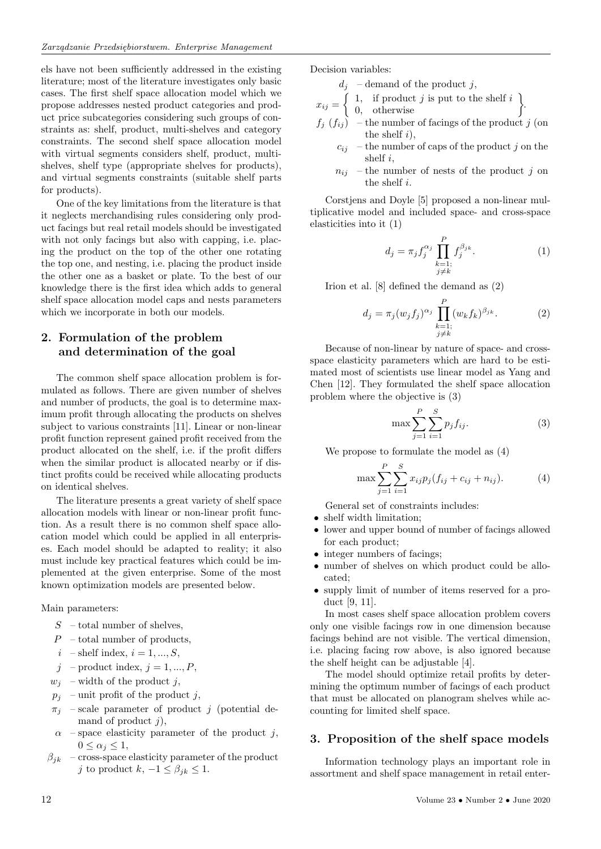els have not been sufficiently addressed in the existing literature; most of the literature investigates only basic cases. The first shelf space allocation model which we propose addresses nested product categories and product price subcategories considering such groups of constraints as: shelf, product, multi-shelves and category constraints. The second shelf space allocation model with virtual segments considers shelf, product, multishelves, shelf type (appropriate shelves for products), and virtual segments constraints (suitable shelf parts for products).

One of the key limitations from the literature is that it neglects merchandising rules considering only product facings but real retail models should be investigated with not only facings but also with capping, i.e. placing the product on the top of the other one rotating the top one, and nesting, i.e. placing the product inside the other one as a basket or plate. To the best of our knowledge there is the first idea which adds to general shelf space allocation model caps and nests parameters which we incorporate in both our models.

## **2. Formulation of the problem and determination of the goal**

The common shelf space allocation problem is formulated as follows. There are given number of shelves and number of products, the goal is to determine maximum profit through allocating the products on shelves subject to various constraints [11]. Linear or non-linear profit function represent gained profit received from the product allocated on the shelf, i.e. if the profit differs when the similar product is allocated nearby or if distinct profits could be received while allocating products on identical shelves.

The literature presents a great variety of shelf space allocation models with linear or non-linear profit function. As a result there is no common shelf space allocation model which could be applied in all enterprises. Each model should be adapted to reality; it also must include key practical features which could be implemented at the given enterprise. Some of the most known optimization models are presented below.

Main parameters:

- $S$  total number of shelves,
- $P -$ total number of products,
- $i$  shelf index,  $i = 1, ..., S$ ,
- $j$  product index,  $j = 1, ..., P$ ,
- $w_i$  width of the product j,
- $p_j$  unit profit of the product j,
- $-$  scale parameter of product j (potential demand of product  $j$ ),
- $\alpha$  space elasticity parameter of the product j,  $0 \leq \alpha_j \leq 1$
- $\beta_{jk}$  cross-space elasticity parameter of the product j to product  $k, -1 \leq \beta_{jk} \leq 1$ .

Decision variables:

- $d_{j}\;$  demand of the product  $j,$
- $x_{ij} = \begin{cases} 1, & \text{if product } j \text{ is put to the shelf } i \\ 0, & \text{otherwise} \end{cases}$ 
	-
- $f_j(f_{ij})$  the number of facings of the product j (on the shelf  $i$ ,
	- $c_{ij}$  the number of caps of the product j on the shelf  $i$ ,
	- $n_{ij}$  the number of nests of the product j on the shelf i.

Corstjens and Doyle [5] proposed a non-linear multiplicative model and included space- and cross-space elasticities into it (1)

$$
d_j = \pi_j f_j^{\alpha_j} \prod_{\substack{k=1;\\j\neq k}}^P f_j^{\beta_{jk}}.
$$
 (1)

Irion et al. [8] defined the demand as (2)

$$
d_j = \pi_j(w_j f_j)^{\alpha_j} \prod_{\substack{k=1;\\j\neq k}}^P (w_k f_k)^{\beta_{jk}}.
$$
 (2)

Because of non-linear by nature of space- and crossspace elasticity parameters which are hard to be estimated most of scientists use linear model as Yang and Chen [12]. They formulated the shelf space allocation problem where the objective is (3)

$$
\max \sum_{j=1}^{P} \sum_{i=1}^{S} p_j f_{ij}.
$$
 (3)

We propose to formulate the model as (4)

$$
\max \sum_{j=1}^{P} \sum_{i=1}^{S} x_{ij} p_j (f_{ij} + c_{ij} + n_{ij}).
$$
 (4)

General set of constraints includes:

- shelf width limitation;
- lower and upper bound of number of facings allowed for each product;
- integer numbers of facings;
- number of shelves on which product could be allocated;
- supply limit of number of items reserved for a product [9, 11].

In most cases shelf space allocation problem covers only one visible facings row in one dimension because facings behind are not visible. The vertical dimension, i.e. placing facing row above, is also ignored because the shelf height can be adjustable [4].

The model should optimize retail profits by determining the optimum number of facings of each product that must be allocated on planogram shelves while accounting for limited shelf space.

### **3. Proposition of the shelf space models**

Information technology plays an important role in assortment and shelf space management in retail enter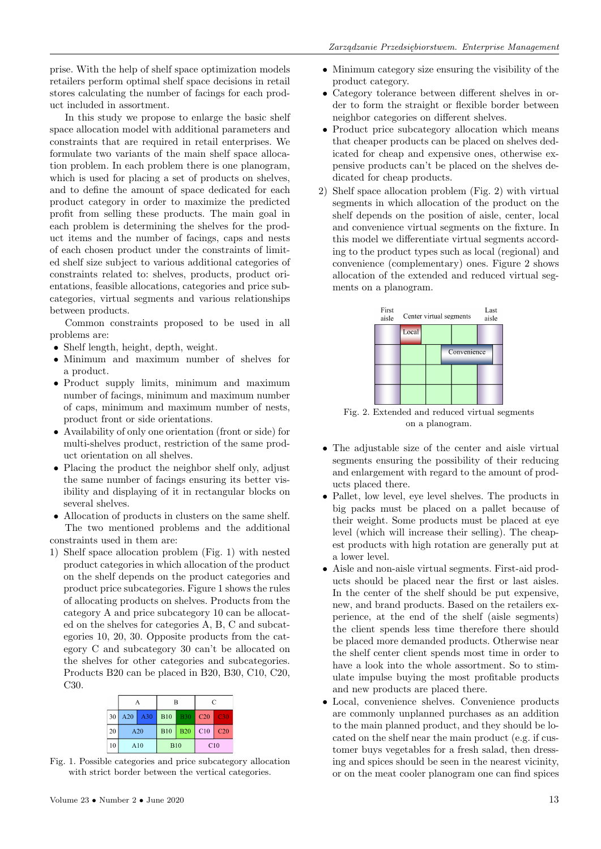prise. With the help of shelf space optimization models retailers perform optimal shelf space decisions in retail stores calculating the number of facings for each product included in assortment.

In this study we propose to enlarge the basic shelf space allocation model with additional parameters and constraints that are required in retail enterprises. We formulate two variants of the main shelf space allocation problem. In each problem there is one planogram, which is used for placing a set of products on shelves, and to define the amount of space dedicated for each product category in order to maximize the predicted profit from selling these products. The main goal in each problem is determining the shelves for the product items and the number of facings, caps and nests of each chosen product under the constraints of limited shelf size subject to various additional categories of constraints related to: shelves, products, product orientations, feasible allocations, categories and price subcategories, virtual segments and various relationships between products.

Common constraints proposed to be used in all problems are:

- Shelf length, height, depth, weight.
- Minimum and maximum number of shelves for a product.
- Product supply limits, minimum and maximum number of facings, minimum and maximum number of caps, minimum and maximum number of nests, product front or side orientations.
- Availability of only one orientation (front or side) for multi-shelves product, restriction of the same product orientation on all shelves.
- Placing the product the neighbor shelf only, adjust the same number of facings ensuring its better visibility and displaying of it in rectangular blocks on several shelves.

• Allocation of products in clusters on the same shelf. The two mentioned problems and the additional constraints used in them are:

1) Shelf space allocation problem (Fig. 1) with nested product categories in which allocation of the product on the shelf depends on the product categories and product price subcategories. Figure 1 shows the rules of allocating products on shelves. Products from the category A and price subcategory 10 can be allocated on the shelves for categories A, B, C and subcategories 10, 20, 30. Opposite products from the category C and subcategory 30 can't be allocated on the shelves for other categories and subcategories. Products B20 can be placed in B20, B30, C10, C20, C30.

|                 | А          |     | B          |            | $\mathcal{C}$ |                 |
|-----------------|------------|-----|------------|------------|---------------|-----------------|
| 30 <sup>1</sup> | A20        | A30 | <b>B10</b> | <b>B30</b> | C20           | C30             |
| 20              | A20<br>A10 |     | <b>B10</b> | <b>B20</b> | C10           | C <sub>20</sub> |
| 10              |            |     | <b>B10</b> |            | C10           |                 |

Fig. 1. Possible categories and price subcategory allocation with strict border between the vertical categories.

- Minimum category size ensuring the visibility of the product category.
- Category tolerance between different shelves in order to form the straight or flexible border between neighbor categories on different shelves.
- Product price subcategory allocation which means that cheaper products can be placed on shelves dedicated for cheap and expensive ones, otherwise expensive products can't be placed on the shelves dedicated for cheap products.
- 2) Shelf space allocation problem (Fig. 2) with virtual segments in which allocation of the product on the shelf depends on the position of aisle, center, local and convenience virtual segments on the fixture. In this model we differentiate virtual segments according to the product types such as local (regional) and convenience (complementary) ones. Figure 2 shows allocation of the extended and reduced virtual segments on a planogram.



Fig. 2. Extended and reduced virtual segments on a planogram.

- The adjustable size of the center and aisle virtual segments ensuring the possibility of their reducing and enlargement with regard to the amount of products placed there.
- Pallet, low level, eye level shelves. The products in big packs must be placed on a pallet because of their weight. Some products must be placed at eye level (which will increase their selling). The cheapest products with high rotation are generally put at a lower level.
- Aisle and non-aisle virtual segments. First-aid products should be placed near the first or last aisles. In the center of the shelf should be put expensive, new, and brand products. Based on the retailers experience, at the end of the shelf (aisle segments) the client spends less time therefore there should be placed more demanded products. Otherwise near the shelf center client spends most time in order to have a look into the whole assortment. So to stimulate impulse buying the most profitable products and new products are placed there.
- Local, convenience shelves. Convenience products are commonly unplanned purchases as an addition to the main planned product, and they should be located on the shelf near the main product (e.g. if customer buys vegetables for a fresh salad, then dressing and spices should be seen in the nearest vicinity, or on the meat cooler planogram one can find spices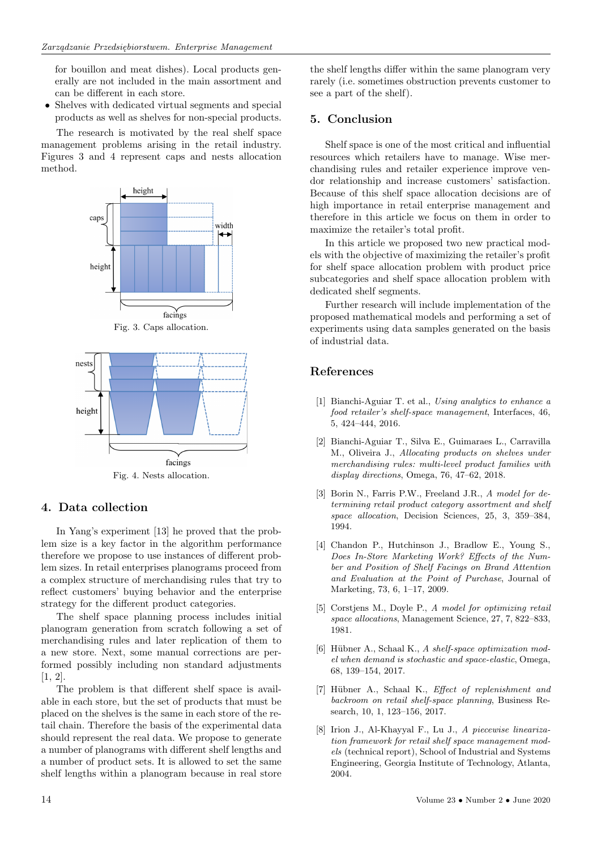for bouillon and meat dishes). Local products generally are not included in the main assortment and can be different in each store.

• Shelves with dedicated virtual segments and special products as well as shelves for non-special products.

The research is motivated by the real shelf space management problems arising in the retail industry. Figures 3 and 4 represent caps and nests allocation method.



Fig. 4. Nests allocation.

### **4. Data collection**

In Yang's experiment [13] he proved that the problem size is a key factor in the algorithm performance therefore we propose to use instances of different problem sizes. In retail enterprises planograms proceed from a complex structure of merchandising rules that try to reflect customers' buying behavior and the enterprise strategy for the different product categories.

The shelf space planning process includes initial planogram generation from scratch following a set of merchandising rules and later replication of them to a new store. Next, some manual corrections are performed possibly including non standard adjustments [1, 2].

The problem is that different shelf space is available in each store, but the set of products that must be placed on the shelves is the same in each store of the retail chain. Therefore the basis of the experimental data should represent the real data. We propose to generate a number of planograms with different shelf lengths and a number of product sets. It is allowed to set the same shelf lengths within a planogram because in real store

the shelf lengths differ within the same planogram very rarely (i.e. sometimes obstruction prevents customer to see a part of the shelf).

### **5. Conclusion**

Shelf space is one of the most critical and influential resources which retailers have to manage. Wise merchandising rules and retailer experience improve vendor relationship and increase customers' satisfaction. Because of this shelf space allocation decisions are of high importance in retail enterprise management and therefore in this article we focus on them in order to maximize the retailer's total profit.

In this article we proposed two new practical models with the objective of maximizing the retailer's profit for shelf space allocation problem with product price subcategories and shelf space allocation problem with dedicated shelf segments.

Further research will include implementation of the proposed mathematical models and performing a set of experiments using data samples generated on the basis of industrial data.

### **References**

- [1] Bianchi-Aguiar T. et al., *Using analytics to enhance a food retailer's shelf-space management*, Interfaces, 46, 5, 424–444, 2016.
- [2] Bianchi-Aguiar T., Silva E., Guimaraes L., Carravilla M., Oliveira J., *Allocating products on shelves under merchandising rules: multi-level product families with display directions*, Omega, 76, 47–62, 2018.
- [3] Borin N., Farris P.W., Freeland J.R., *A model for determining retail product category assortment and shelf space allocation*, Decision Sciences, 25, 3, 359–384, 1994.
- [4] Chandon P., Hutchinson J., Bradlow E., Young S., *Does In-Store Marketing Work? Effects of the Number and Position of Shelf Facings on Brand Attention and Evaluation at the Point of Purchase*, Journal of Marketing, 73, 6, 1–17, 2009.
- [5] Corstjens M., Doyle P., *A model for optimizing retail space allocations*, Management Science, 27, 7, 822–833, 1981.
- [6] Hübner A., Schaal K., *A shelf-space optimization model when demand is stochastic and space-elastic*, Omega, 68, 139–154, 2017.
- [7] Hübner A., Schaal K., *Effect of replenishment and backroom on retail shelf-space planning*, Business Research, 10, 1, 123–156, 2017.
- [8] Irion J., Al-Khayyal F., Lu J., *A piecewise linearization framework for retail shelf space management models* (technical report), School of Industrial and Systems Engineering, Georgia Institute of Technology, Atlanta, 2004.